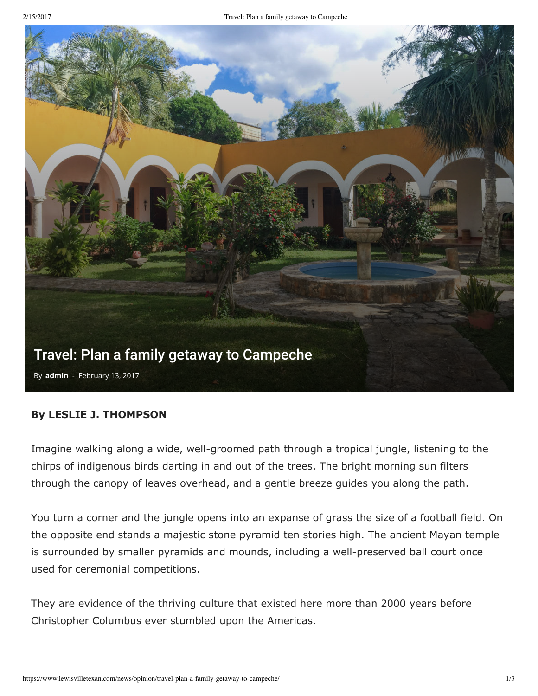

## **By LESLIE J. THOMPSON**

Imagine walking along a wide, well-groomed path through a tropical jungle, listening to the chirps of indigenous birds darting in and out of the trees. The bright morning sun filters through the canopy of leaves overhead, and a gentle breeze guides you along the path.

You turn a corner and the jungle opens into an expanse of grass the size of a football field. On the opposite end stands a majestic stone pyramid ten stories high. The ancient Mayan temple is surrounded by smaller pyramids and mounds, including a well-preserved ball court once used for ceremonial competitions.

They are evidence of the thriving culture that existed here more than 2000 years before Christopher Columbus ever stumbled upon the Americas.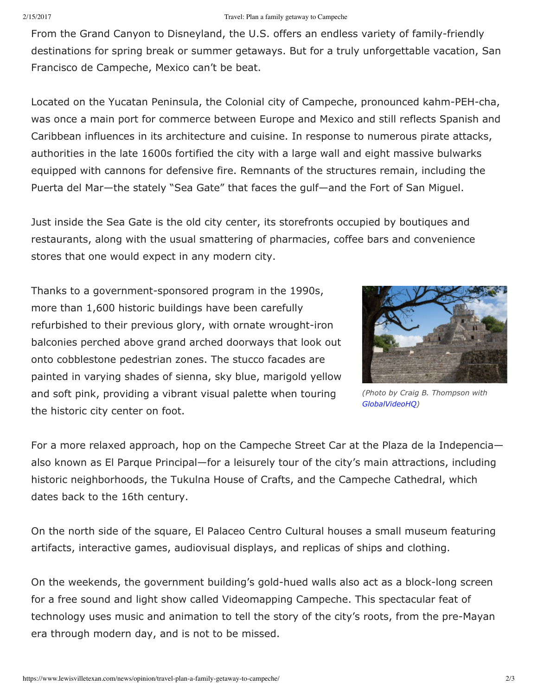From the Grand Canyon to Disneyland, the U.S. offers an endless variety of family-friendly destinations for spring break or summer getaways. But for a truly unforgettable vacation, San Francisco de Campeche, Mexico can't be beat.

Located on the Yucatan Peninsula, the Colonial city of Campeche, pronounced kahm-PEH-cha, was once a main port for commerce between Europe and Mexico and still reflects Spanish and Caribbean influences in its architecture and cuisine. In response to numerous pirate attacks, authorities in the late 1600s fortified the city with a large wall and eight massive bulwarks equipped with cannons for defensive fire. Remnants of the structures remain, including the Puerta del Mar—the stately "Sea Gate" that faces the gulf—and the Fort of San Miguel.

Just inside the Sea Gate is the old city center, its storefronts occupied by boutiques and restaurants, along with the usual smattering of pharmacies, coffee bars and convenience stores that one would expect in any modern city.

Thanks to a government-sponsored program in the 1990s, more than 1,600 historic buildings have been carefully refurbished to their previous glory, with ornate wrought-iron balconies perched above grand arched doorways that look out onto cobblestone pedestrian zones. The stucco facades are painted in varying shades of sienna, sky blue, marigold yellow and soft pink, providing a vibrant visual palette when touring the historic city center on foot.



*(Photo by Craig B. Thompson with [GlobalVideoHQ](https://globalvideohq.com/))*

For a more relaxed approach, hop on the Campeche Street Car at the Plaza de la Indepencia also known as El Parque Principal—for a leisurely tour of the city's main attractions, including historic neighborhoods, the Tukulna House of Crafts, and the Campeche Cathedral, which dates back to the 16th century.

On the north side of the square, El Palaceo Centro Cultural houses a small museum featuring artifacts, interactive games, audiovisual displays, and replicas of ships and clothing.

On the weekends, the government building's gold-hued walls also act as a block-long screen for a free sound and light show called Videomapping Campeche. This spectacular feat of technology uses music and animation to tell the story of the city's roots, from the pre-Mayan era through modern day, and is not to be missed.